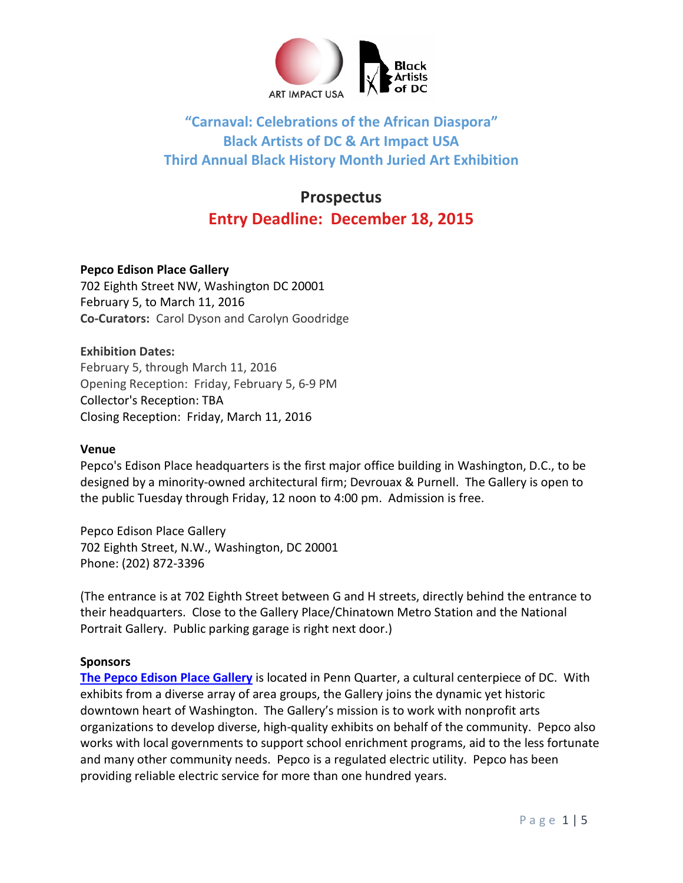

## **"Carnaval: Celebrations of the African Diaspora" Black Artists of DC & Art Impact USA Third Annual Black History Month Juried Art Exhibition**

## **Prospectus Entry Deadline: December 18, 2015**

## **Pepco Edison Place Gallery**

702 Eighth Street NW, Washington DC 20001 February 5, to March 11, 2016 **Co-Curators:** Carol Dyson and Carolyn Goodridge

**Exhibition Dates:** February 5, through March 11, 2016 Opening Reception: Friday, February 5, 6-9 PM Collector's Reception: TBA Closing Reception: Friday, March 11, 2016

#### **Venue**

Pepco's Edison Place headquarters is the first major office building in Washington, D.C., to be designed by a minority-owned architectural firm; Devrouax & Purnell. The Gallery is open to the public Tuesday through Friday, 12 noon to 4:00 pm. Admission is free.

Pepco Edison Place Gallery 702 Eighth Street, N.W., Washington, DC 20001 Phone: (202) 872-3396

(The entrance is at 702 Eighth Street between G and H streets, directly behind the entrance to their headquarters. Close to the Gallery Place/Chinatown Metro Station and the National Portrait Gallery. Public parking garage is right next door.)

## **Sponsors**

**[The Pepco Edison Place Gallery](http://www.pepco.com/community-commitment/be-a-good-community-partner/pepco-edison-place-gallery/)** is located in Penn Quarter, a cultural centerpiece of DC. With exhibits from a diverse array of area groups, the Gallery joins the dynamic yet historic downtown heart of Washington. The Gallery's mission is to work with nonprofit arts organizations to develop diverse, high-quality exhibits on behalf of the community. Pepco also works with local governments to support school enrichment programs, aid to the less fortunate and many other community needs. Pepco is a regulated electric utility. Pepco has been providing reliable electric service for more than one hundred years.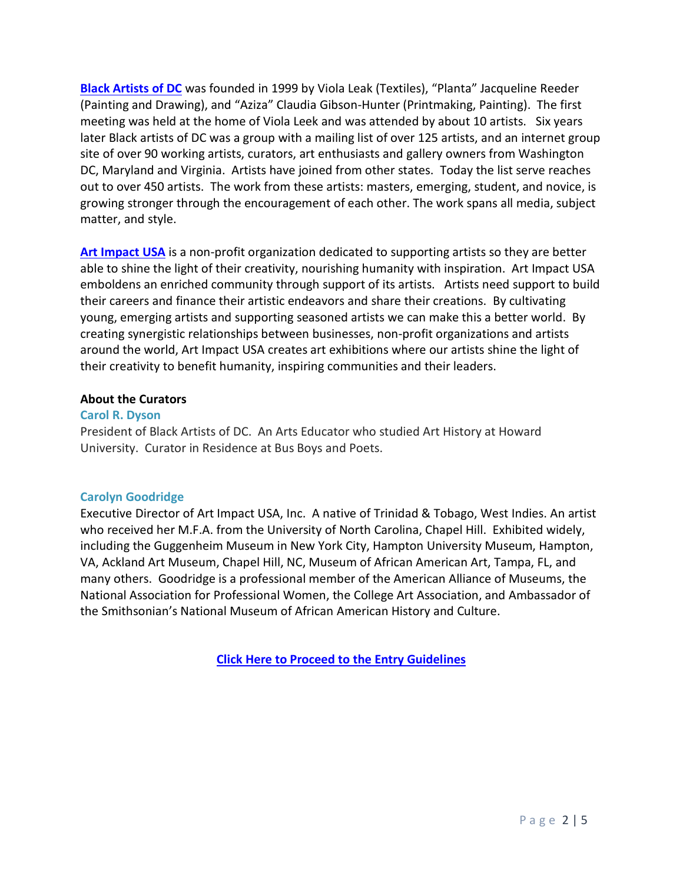**[Black Artists of DC](http://www.artimpactusa.org/badc-membership.html)** was founded in 1999 by Viola Leak (Textiles), "Planta" Jacqueline Reeder (Painting and Drawing), and "Aziza" Claudia Gibson-Hunter (Printmaking, Painting). The first meeting was held at the home of Viola Leek and was attended by about 10 artists. Six years later Black artists of DC was a group with a mailing list of over 125 artists, and an internet group site of over 90 working artists, curators, art enthusiasts and gallery owners from Washington DC, Maryland and Virginia. Artists have joined from other states. Today the list serve reaches out to over 450 artists. The work from these artists: masters, emerging, student, and novice, is growing stronger through the encouragement of each other. The work spans all media, subject matter, and style.

[Art Impact USA](http://www.artimpactusa.org/) is a non-profit organization dedicated to supporting artists so they are better able to shine the light of their creativity, nourishing humanity with inspiration. Art Impact USA emboldens an enriched community through support of its artists. Artists need support to build their careers and finance their artistic endeavors and share their creations. By cultivating young, emerging artists and supporting seasoned artists we can make this a better world. By creating synergistic relationships between businesses, non-profit organizations and artists around the world, Art Impact USA creates art exhibitions where our artists shine the light of their creativity to benefit humanity, inspiring communities and their leaders.

#### **About the Curators**

#### **Carol R. Dyson**

President of Black Artists of DC. An Arts Educator who studied Art History at Howard University. Curator in Residence at Bus Boys and Poets.

#### **Carolyn Goodridge**

Executive Director of Art Impact USA, Inc. A native of Trinidad & Tobago, West Indies. An artist who received her M.F.A. from the University of North Carolina, Chapel Hill. Exhibited widely, including the Guggenheim Museum in New York City, Hampton University Museum, Hampton, VA, Ackland Art Museum, Chapel Hill, NC, Museum of African American Art, Tampa, FL, and many others. Goodridge is a professional member of the American Alliance of Museums, the National Association for Professional Women, the College Art Association, and Ambassador of the Smithsonian's National Museum of African American History and Culture.

**[Click Here to Proceed to the Entry](http://www.artimpactusa.org/carnaval-entry-guidelines.html) Guidelines**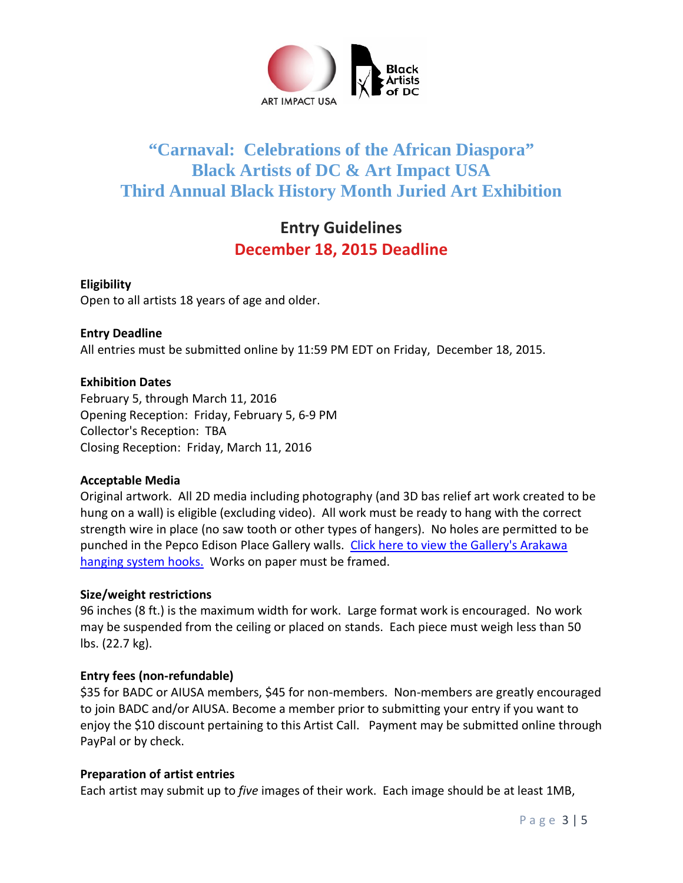

# **"Carnaval: Celebrations of the African Diaspora" Black Artists of DC & Art Impact USA Third Annual Black History Month Juried Art Exhibition**

# **Entry Guidelines December 18, 2015 Deadline**

## **Eligibility**

Open to all artists 18 years of age and older.

## **Entry Deadline**

All entries must be submitted online by 11:59 PM EDT on Friday, December 18, 2015.

## **Exhibition Dates**

February 5, through March 11, 2016 Opening Reception: Friday, February 5, 6-9 PM Collector's Reception: TBA Closing Reception: Friday, March 11, 2016

#### **Acceptable Media**

Original artwork. All 2D media including photography (and 3D bas relief art work created to be hung on a wall) is eligible (excluding video). All work must be ready to hang with the correct strength wire in place (no saw tooth or other types of hangers). No holes are permitted to be punched in the Pepco Edison Place Gallery walls. [Click here to view the Gallery's Arakawa](http://www.artimpactusa.com/arakawa.html)  [hanging system hooks.](http://www.artimpactusa.com/arakawa.html) Works on paper must be framed.

## **Size/weight restrictions**

96 inches (8 ft.) is the maximum width for work. Large format work is encouraged. No work may be suspended from the ceiling or placed on stands. Each piece must weigh less than 50 lbs. (22.7 kg).

## **Entry fees (non-refundable)**

\$35 for BADC or AIUSA members, \$45 for non-members. Non-members are greatly encouraged to join BADC and/or AIUSA. Become a member prior to submitting your entry if you want to enjoy the \$10 discount pertaining to this Artist Call. Payment may be submitted online through PayPal or by check.

#### **Preparation of artist entries**

Each artist may submit up to *five* images of their work. Each image should be at least 1MB,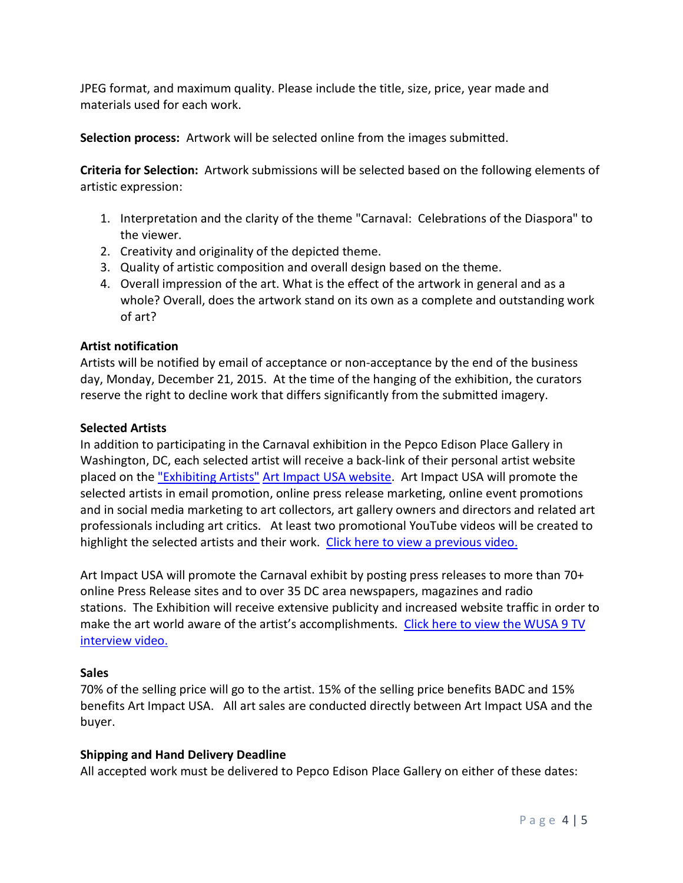JPEG format, and maximum quality. Please include the title, size, price, year made and materials used for each work.

**Selection process:** Artwork will be selected online from the images submitted.

**Criteria for Selection:** Artwork submissions will be selected based on the following elements of artistic expression:

- 1. Interpretation and the clarity of the theme "Carnaval: Celebrations of the Diaspora" to the viewer.
- 2. Creativity and originality of the depicted theme.
- 3. Quality of artistic composition and overall design based on the theme.
- 4. Overall impression of the art. What is the effect of the artwork in general and as a whole? Overall, does the artwork stand on its own as a complete and outstanding work of art?

## **Artist notification**

Artists will be notified by email of acceptance or non-acceptance by the end of the business day, Monday, December 21, 2015. At the time of the hanging of the exhibition, the curators reserve the right to decline work that differs significantly from the submitted imagery.

#### **Selected Artists**

In addition to participating in the Carnaval exhibition in the Pepco Edison Place Gallery in Washington, DC, each selected artist will receive a back-link of their personal artist website placed on the ["Exhibiting Artists"](http://www.artimpactusa.org/artists.html) [Art Impact USA website.](http://www.artimpactusa.org/artists.html) Art Impact USA will promote the selected artists in email promotion, online press release marketing, online event promotions and in social media marketing to art collectors, art gallery owners and directors and related art professionals including art critics. At least two promotional YouTube videos will be created to highlight the selected artists and their work. [Click here to view a previous video.](http://www.artimpactusa.com/exhibition-videos.html)

Art Impact USA will promote the Carnaval exhibit by posting press releases to more than 70+ online Press Release sites and to over 35 DC area newspapers, magazines and radio stations. The Exhibition will receive extensive publicity and increased website traffic in order to make the art world aware of the artist's accomplishments. [Click here to view the WUSA 9 TV](http://www.artimpactusa.com/wusa-9-2014-tv-coverage.html)  [interview video.](http://www.artimpactusa.com/wusa-9-2014-tv-coverage.html)

#### **Sales**

70% of the selling price will go to the artist. 15% of the selling price benefits BADC and 15% benefits Art Impact USA. All art sales are conducted directly between Art Impact USA and the buyer.

#### **Shipping and Hand Delivery Deadline**

All accepted work must be delivered to Pepco Edison Place Gallery on either of these dates: